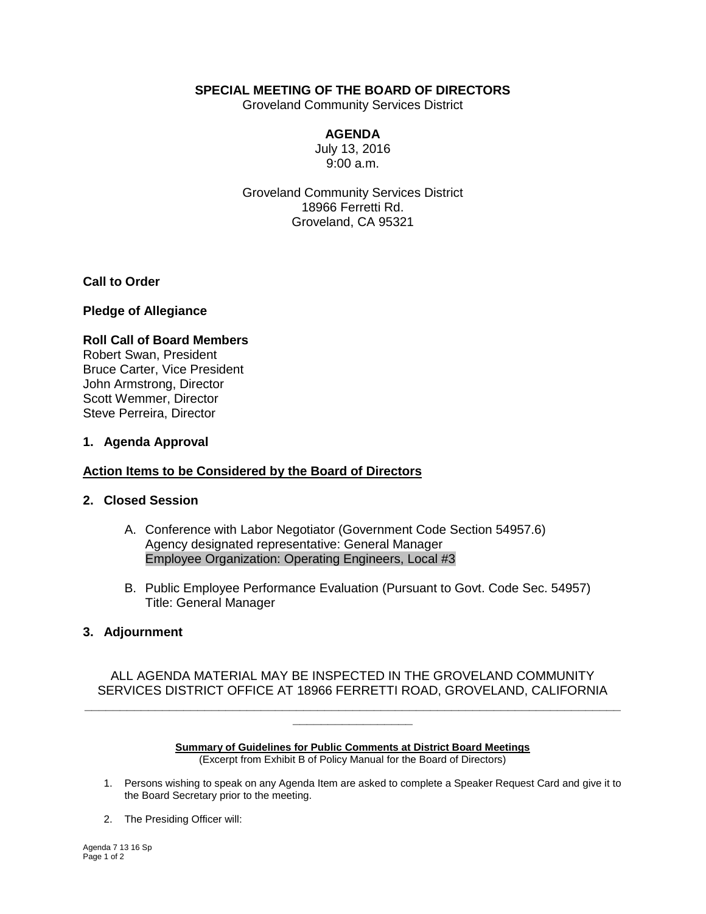# **SPECIAL MEETING OF THE BOARD OF DIRECTORS**

Groveland Community Services District

# **AGENDA**

July 13, 2016 9:00 a.m.

Groveland Community Services District 18966 Ferretti Rd. Groveland, CA 95321

**Call to Order**

#### **Pledge of Allegiance**

#### **Roll Call of Board Members** Robert Swan, President Bruce Carter, Vice President John Armstrong, Director Scott Wemmer, Director Steve Perreira, Director

### **1. Agenda Approval**

## **Action Items to be Considered by the Board of Directors**

#### **2. Closed Session**

- A. Conference with Labor Negotiator (Government Code Section 54957.6) Agency designated representative: General Manager Employee Organization: Operating Engineers, Local #3
- B. Public Employee Performance Evaluation (Pursuant to Govt. Code Sec. 54957) Title: General Manager

### **3. Adjournment**

## ALL AGENDA MATERIAL MAY BE INSPECTED IN THE GROVELAND COMMUNITY SERVICES DISTRICT OFFICE AT 18966 FERRETTI ROAD, GROVELAND, CALIFORNIA **\_\_\_\_\_\_\_\_\_\_\_\_\_\_\_\_\_\_\_\_\_\_\_\_\_\_\_\_\_\_\_\_\_\_\_\_\_\_\_\_\_\_\_\_\_\_\_\_\_\_\_\_\_\_\_\_\_\_\_\_\_\_\_\_\_\_\_\_\_\_\_\_\_\_\_\_**

#### **Summary of Guidelines for Public Comments at District Board Meetings** (Excerpt from Exhibit B of Policy Manual for the Board of Directors)

**\_\_\_\_\_\_\_\_\_\_\_\_\_\_\_\_\_**

- 1. Persons wishing to speak on any Agenda Item are asked to complete a Speaker Request Card and give it to the Board Secretary prior to the meeting.
- 2. The Presiding Officer will: